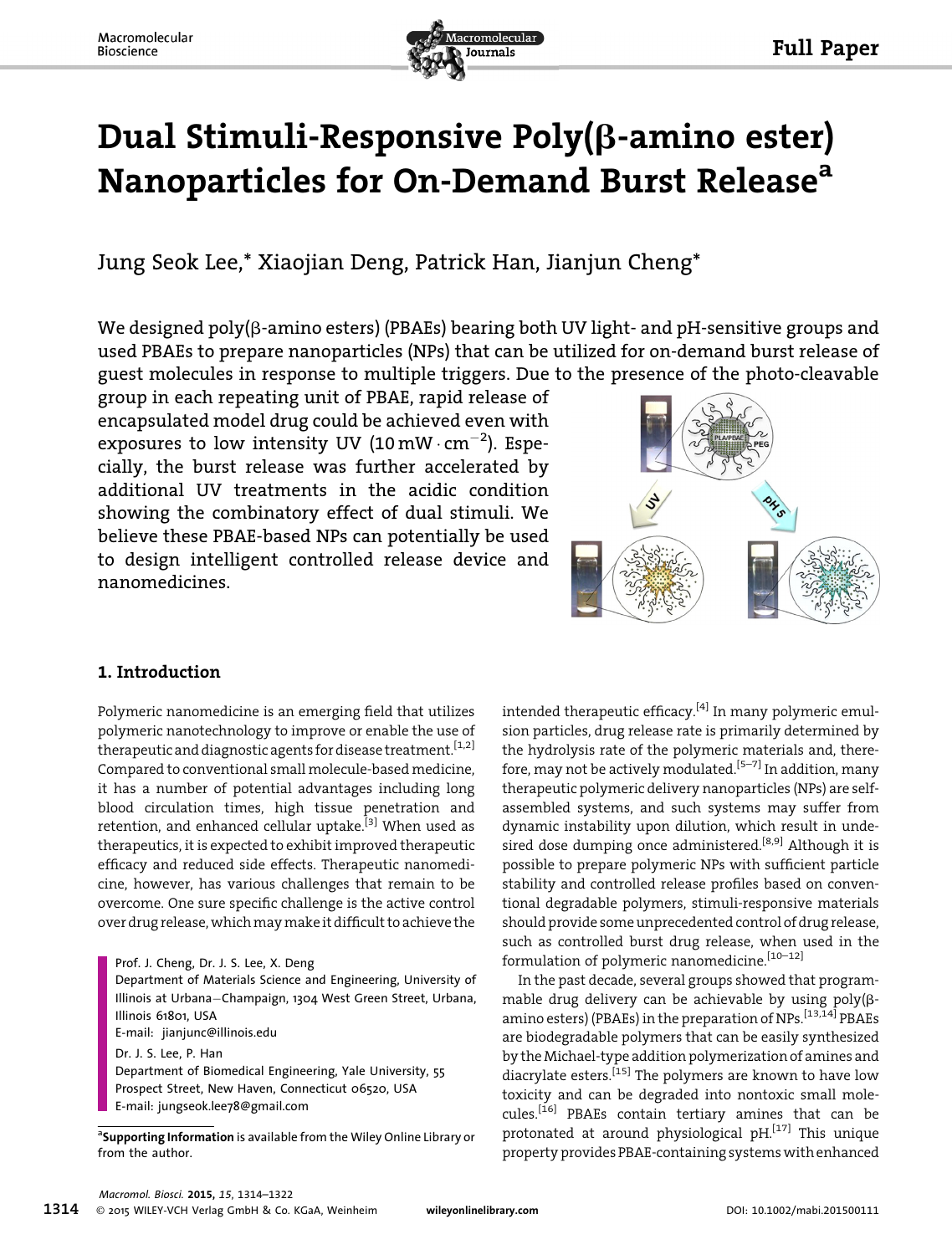

# Dual Stimuli-Responsive Poly(b-amino ester) Nanoparticles for On-Demand Burst Release<sup>a</sup>

Jung Seok Lee,\* Xiaojian Deng, Patrick Han, Jianjun Cheng\*

We designed poly( $\beta$ -amino esters) (PBAEs) bearing both UV light- and pH-sensitive groups and used PBAEs to prepare nanoparticles (NPs) that can be utilized for on-demand burst release of guest molecules in response to multiple triggers. Due to the presence of the photo-cleavable

group in each repeating unit of PBAE, rapid release of encapsulated model drug could be achieved even with exposures to low intensity UV (10 mW  $\cdot$  cm<sup>-2</sup>). Especially, the burst release was further accelerated by additional UV treatments in the acidic condition showing the combinatory effect of dual stimuli. We believe these PBAE-based NPs can potentially be used to design intelligent controlled release device and nanomedicines.



# 1. Introduction

Polymeric nanomedicine is an emerging field that utilizes polymeric nanotechnology to improve or enable the use of therapeutic and diagnostic agents for disease treatment.<sup>[1,2]</sup> Compared to conventional small molecule-based medicine, it has a number of potential advantages including long blood circulation times, high tissue penetration and retention, and enhanced cellular uptake.<sup>[3]</sup> When used as therapeutics, it is expected to exhibit improved therapeutic efficacy and reduced side effects. Therapeutic nanomedicine, however, has various challenges that remain to be overcome. One sure specific challenge is the active control over drug release, which may make it difficult to achieve the

Prof. J. Cheng, Dr. J. S. Lee, X. Deng

Department of Materials Science and Engineering, University of Illinois at Urbana-Champaign, 1304 West Green Street, Urbana, Illinois 61801, USA

E-mail: jianjunc@illinois.edu

Dr. J. S. Lee, P. Han

Department of Biomedical Engineering, Yale University, 55 Prospect Street, New Haven, Connecticut 06520, USA E-mail: jungseok.lee78@gmail.com

<sup>a</sup>Supporting Information is available from the Wiley Online Library or<br>from the author from the author.

intended therapeutic efficacy.<sup>[4]</sup> In many polymeric emulsion particles, drug release rate is primarily determined by the hydrolysis rate of the polymeric materials and, therefore, may not be actively modulated.<sup>[5-7]</sup> In addition, many therapeutic polymeric delivery nanoparticles (NPs) are selfassembled systems, and such systems may suffer from dynamic instability upon dilution, which result in undesired dose dumping once administered.<sup>[8,9]</sup> Although it is possible to prepare polymeric NPs with sufficient particle stability and controlled release profiles based on conventional degradable polymers, stimuli-responsive materials should provide some unprecedented control of drug release, such as controlled burst drug release, when used in the formulation of polymeric nanomedicine.<sup>[10-12]</sup>

In the past decade, several groups showed that programmable drug delivery can be achievable by using poly(bamino esters) (PBAEs) in the preparation of NPs.[13,14] PBAEs are biodegradable polymers that can be easily synthesized by the Michael-type addition polymerization of amines and diacrylate esters.<sup>[15]</sup> The polymers are known to have low toxicity and can be degraded into nontoxic small molecules.[16] PBAEs contain tertiary amines that can be protonated at around physiological  $pH$ <sup>[17]</sup> This unique property provides PBAE-containing systems with enhanced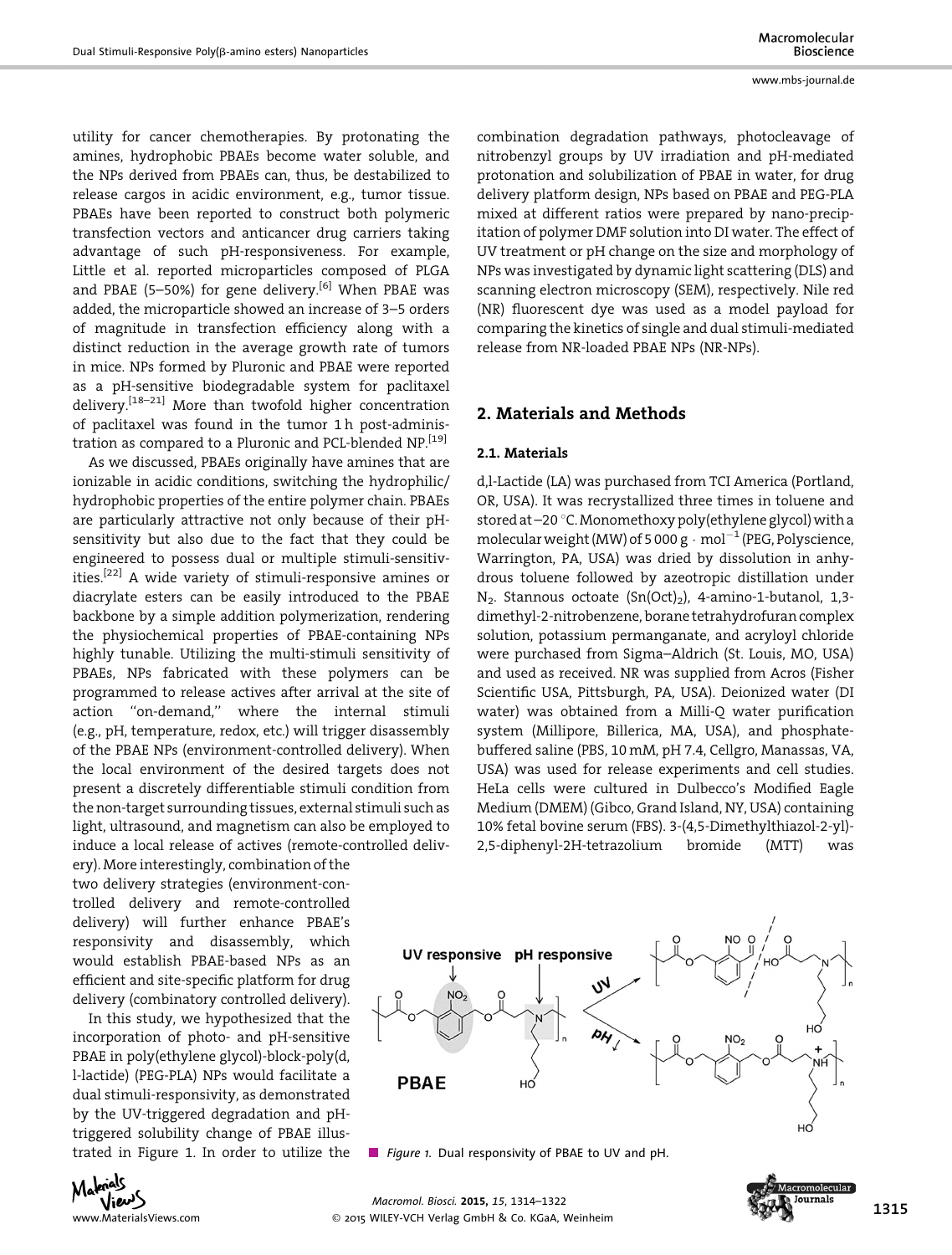utility for cancer chemotherapies. By protonating the amines, hydrophobic PBAEs become water soluble, and the NPs derived from PBAEs can, thus, be destabilized to release cargos in acidic environment, e.g., tumor tissue. PBAEs have been reported to construct both polymeric transfection vectors and anticancer drug carriers taking advantage of such pH-responsiveness. For example, Little et al. reported microparticles composed of PLGA and PBAE (5–50%) for gene delivery.<sup>[6]</sup> When PBAE was added, the microparticle showed an increase of 3–5 orders of magnitude in transfection efficiency along with a distinct reduction in the average growth rate of tumors in mice. NPs formed by Pluronic and PBAE were reported as a pH-sensitive biodegradable system for paclitaxel delivery.[18–21] More than twofold higher concentration of paclitaxel was found in the tumor 1h post-administration as compared to a Pluronic and PCL-blended NP.<sup>[19]</sup>

As we discussed, PBAEs originally have amines that are ionizable in acidic conditions, switching the hydrophilic/ hydrophobic properties of the entire polymer chain. PBAEs are particularly attractive not only because of their pHsensitivity but also due to the fact that they could be engineered to possess dual or multiple stimuli-sensitivities.<sup>[22]</sup> A wide variety of stimuli-responsive amines or diacrylate esters can be easily introduced to the PBAE backbone by a simple addition polymerization, rendering the physiochemical properties of PBAE-containing NPs highly tunable. Utilizing the multi-stimuli sensitivity of PBAEs, NPs fabricated with these polymers can be programmed to release actives after arrival at the site of action ''on-demand,'' where the internal stimuli (e.g., pH, temperature, redox, etc.) will trigger disassembly of the PBAE NPs (environment-controlled delivery). When the local environment of the desired targets does not present a discretely differentiable stimuli condition from the non-target surrounding tissues, external stimuli such as light, ultrasound, and magnetism can also be employed to induce a local release of actives (remote-controlled deliv-

ery). More interestingly, combination of the two delivery strategies (environment-controlled delivery and remote-controlled delivery) will further enhance PBAE's responsivity and disassembly, which would establish PBAE-based NPs as an efficient and site-specific platform for drug delivery (combinatory controlled delivery).

In this study, we hypothesized that the incorporation of photo- and pH-sensitive PBAE in poly(ethylene glycol)-block-poly(d, l-lactide) (PEG-PLA) NPs would facilitate a dual stimuli-responsivity, as demonstrated by the UV-triggered degradation and pHtriggered solubility change of PBAE illustrated in Figure 1. In order to utilize the combination degradation pathways, photocleavage of nitrobenzyl groups by UV irradiation and pH-mediated protonation and solubilization of PBAE in water, for drug delivery platform design, NPs based on PBAE and PEG-PLA mixed at different ratios were prepared by nano-precipitation of polymer DMF solution into DI water. The effect of UV treatment or pH change on the size and morphology of NPs was investigated by dynamic light scattering (DLS) and scanning electron microscopy (SEM), respectively. Nile red (NR) fluorescent dye was used as a model payload for comparing the kinetics of single and dual stimuli-mediated release from NR-loaded PBAE NPs (NR-NPs).

# 2. Materials and Methods

#### 2.1. Materials

d,l-Lactide (LA) was purchased from TCI America (Portland, OR, USA). It was recrystallized three times in toluene and stored at  $-20$  °C. Monomethoxy poly(ethylene glycol) with a molecular weight (MW) of 5 000 g  $\cdot$  mol<sup>-1</sup> (PEG, Polyscience, Warrington, PA, USA) was dried by dissolution in anhydrous toluene followed by azeotropic distillation under  $N_2$ . Stannous octoate  $(Sn(Oct)_2)$ , 4-amino-1-butanol, 1,3dimethyl-2-nitrobenzene, borane tetrahydrofuran complex solution, potassium permanganate, and acryloyl chloride were purchased from Sigma–Aldrich (St. Louis, MO, USA) and used as received. NR was supplied from Acros (Fisher Scientific USA, Pittsburgh, PA, USA). Deionized water (DI water) was obtained from a Milli-Q water purification system (Millipore, Billerica, MA, USA), and phosphatebuffered saline (PBS, 10 mM, pH 7.4, Cellgro, Manassas, VA, USA) was used for release experiments and cell studies. HeLa cells were cultured in Dulbecco's Modified Eagle Medium (DMEM) (Gibco, Grand Island, NY, USA) containing 10% fetal bovine serum (FBS). 3-(4,5-Dimethylthiazol-2-yl)- 2,5-diphenyl-2H-tetrazolium bromide (MTT) was



Figure 1. Dual responsivity of PBAE to UV and pH.



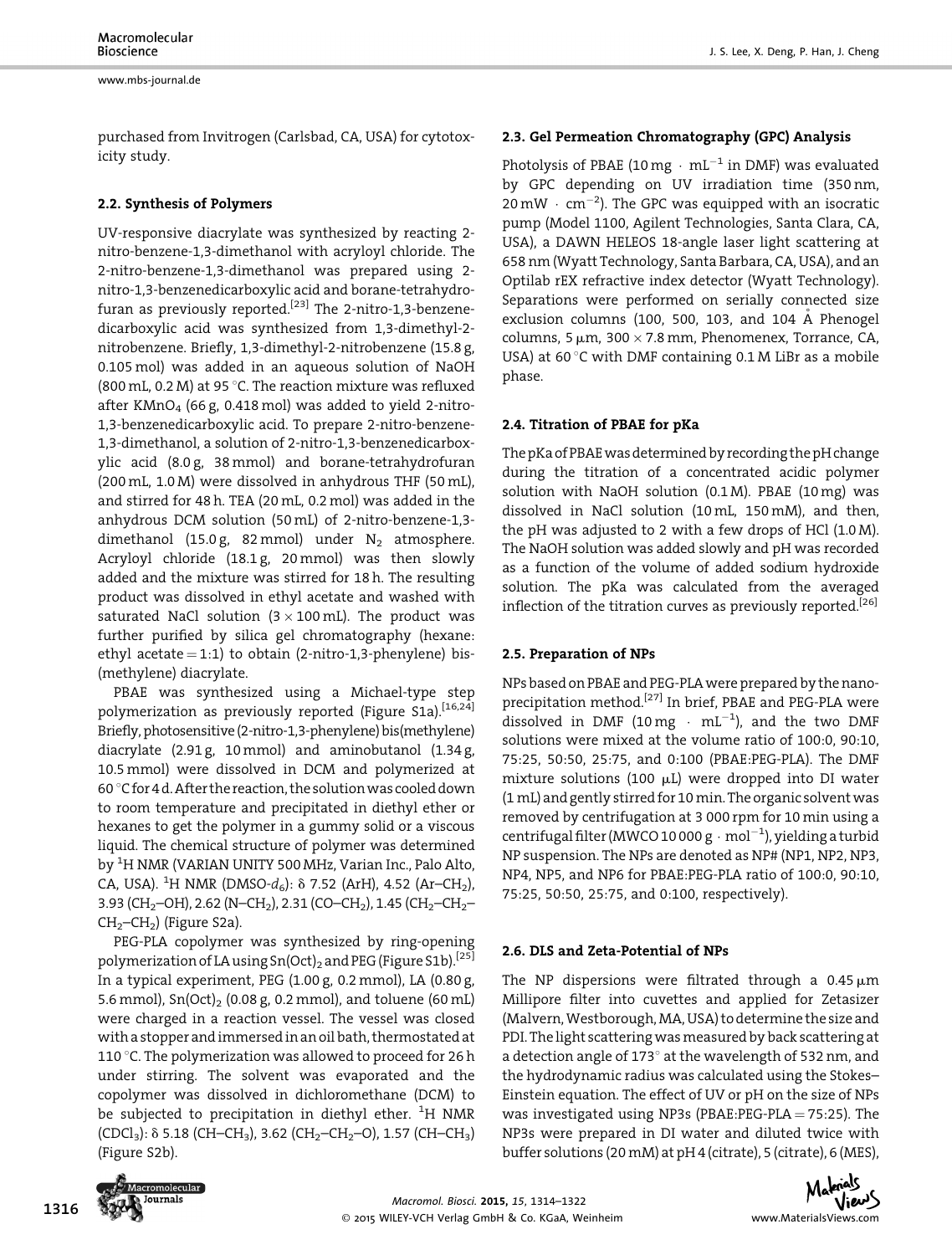purchased from Invitrogen (Carlsbad, CA, USA) for cytotoxicity study.

#### 2.2. Synthesis of Polymers

UV-responsive diacrylate was synthesized by reacting 2 nitro-benzene-1,3-dimethanol with acryloyl chloride. The 2-nitro-benzene-1,3-dimethanol was prepared using 2 nitro-1,3-benzenedicarboxylic acid and borane-tetrahydrofuran as previously reported.<sup>[23]</sup> The 2-nitro-1,3-benzenedicarboxylic acid was synthesized from 1,3-dimethyl-2 nitrobenzene. Briefly, 1,3-dimethyl-2-nitrobenzene (15.8 g, 0.105 mol) was added in an aqueous solution of NaOH (800 mL, 0.2 M) at 95 °C. The reaction mixture was refluxed after KMnO<sub>4</sub> (66 g, 0.418 mol) was added to yield 2-nitro-1,3-benzenedicarboxylic acid. To prepare 2-nitro-benzene-1,3-dimethanol, a solution of 2-nitro-1,3-benzenedicarboxylic acid (8.0 g, 38 mmol) and borane-tetrahydrofuran (200 mL, 1.0 M) were dissolved in anhydrous THF (50 mL), and stirred for 48 h. TEA (20 mL, 0.2 mol) was added in the anhydrous DCM solution (50 mL) of 2-nitro-benzene-1,3 dimethanol (15.0 g, 82 mmol) under  $N_2$  atmosphere. Acryloyl chloride (18.1 g, 20 mmol) was then slowly added and the mixture was stirred for 18 h. The resulting product was dissolved in ethyl acetate and washed with saturated NaCl solution ( $3 \times 100$  mL). The product was further purified by silica gel chromatography (hexane: ethyl acetate  $= 1:1$ ) to obtain (2-nitro-1,3-phenylene) bis-(methylene) diacrylate.

PBAE was synthesized using a Michael-type step polymerization as previously reported (Figure S1a).[16,24] Briefly, photosensitive (2-nitro-1,3-phenylene) bis(methylene) diacrylate (2.91 g, 10mmol) and aminobutanol (1.34 g, 10.5 mmol) were dissolved in DCM and polymerized at 60 °C for 4 d. After the reaction, the solution was cooled down to room temperature and precipitated in diethyl ether or hexanes to get the polymer in a gummy solid or a viscous liquid. The chemical structure of polymer was determined by <sup>1</sup>H NMR (VARIAN UNITY 500 MHz, Varian Inc., Palo Alto, CA, USA). <sup>1</sup>H NMR (DMSO- $d_6$ ):  $\delta$  7.52 (ArH), 4.52 (Ar–CH<sub>2</sub>), 3.93 (CH<sub>2</sub>–OH), 2.62 (N–CH<sub>2</sub>), 2.31 (CO–CH<sub>2</sub>), 1.45 (CH<sub>2</sub>–CH<sub>2</sub>–  $CH<sub>2</sub>-CH<sub>2</sub>$ ) (Figure S2a).

PEG-PLA copolymer was synthesized by ring-opening polymerization of LA using Sn(Oct)<sub>2</sub> and PEG (Figure S1b).<sup>[25]</sup> In a typical experiment, PEG (1.00 g, 0.2 mmol), LA (0.80 g, 5.6 mmol),  $Sn(Oct)$ <sub>2</sub> (0.08 g, 0.2 mmol), and toluene (60 mL) were charged in a reaction vessel. The vessel was closed with a stopper and immersed in an oil bath, thermostated at 110 °C. The polymerization was allowed to proceed for 26 h under stirring. The solvent was evaporated and the copolymer was dissolved in dichloromethane (DCM) to be subjected to precipitation in diethyl ether.  $^{1}$ H NMR  $(CDCI<sub>3</sub>)$ :  $\delta$  5.18 (CH–CH<sub>3</sub>), 3.62 (CH<sub>2</sub>–CH<sub>2</sub>–O), 1.57 (CH–CH<sub>3</sub>) (Figure S2b).

#### 2.3. Gel Permeation Chromatography (GPC) Analysis

Photolysis of PBAE (10 mg  $\cdot$  mL<sup>-1</sup> in DMF) was evaluated by GPC depending on UV irradiation time (350 nm, 20 mW  $\cdot$  cm $^{-2}$ ). The GPC was equipped with an isocratic pump (Model 1100, Agilent Technologies, Santa Clara, CA, USA), a DAWN HELEOS 18-angle laser light scattering at 658 nm (Wyatt Technology, Santa Barbara, CA, USA), and an Optilab rEX refractive index detector (Wyatt Technology). Separations were performed on serially connected size exclusion columns (100, 500, 103, and 104 Å Phenogel columns, 5  $\mu$ m, 300  $\times$  7.8 mm, Phenomenex, Torrance, CA, USA) at 60 $\degree$ C with DMF containing 0.1 M LiBr as a mobile phase.

#### 2.4. Titration of PBAE for pKa

The pKa of PBAE was determined by recording the pH change during the titration of a concentrated acidic polymer solution with NaOH solution  $(0.1 M)$ . PBAE  $(10 mg)$  was dissolved in NaCl solution (10 mL, 150 mM), and then, the pH was adjusted to 2 with a few drops of HCl (1.0 M). The NaOH solution was added slowly and pH was recorded as a function of the volume of added sodium hydroxide solution. The pKa was calculated from the averaged inflection of the titration curves as previously reported.<sup>[26]</sup>

#### 2.5. Preparation of NPs

NPs based on PBAE and PEG-PLAwere prepared by the nanoprecipitation method.[27] In brief, PBAE and PEG-PLA were dissolved in DMF (10 mg  $\cdot$  mL<sup>-1</sup>), and the two DMF solutions were mixed at the volume ratio of 100:0, 90:10, 75:25, 50:50, 25:75, and 0:100 (PBAE:PEG-PLA). The DMF mixture solutions (100  $\mu$ L) were dropped into DI water (1 mL) and gently stirred for 10 min. The organic solventwas removed by centrifugation at 3 000 rpm for 10 min using a centrifugal filter (MWCO 10 000 g  $\cdot$  mol $^{-1}$ ), yielding a turbid NP suspension. The NPs are denoted as NP# (NP1, NP2, NP3, NP4, NP5, and NP6 for PBAE:PEG-PLA ratio of 100:0, 90:10, 75:25, 50:50, 25:75, and 0:100, respectively).

# 2.6. DLS and Zeta-Potential of NPs

The NP dispersions were filtrated through a  $0.45 \mu m$ Millipore filter into cuvettes and applied for Zetasizer (Malvern, Westborough, MA, USA) to determine the size and PDI. The light scattering was measured by back scattering at a detection angle of 173 $^{\circ}$  at the wavelength of 532 nm, and the hydrodynamic radius was calculated using the Stokes– Einstein equation. The effect of UV or pH on the size of NPs was investigated using NP3s (PBAE:PEG-PLA  $=$  75:25). The NP3s were prepared in DI water and diluted twice with buffer solutions (20 mM) at pH 4 (citrate), 5 (citrate), 6 (MES),



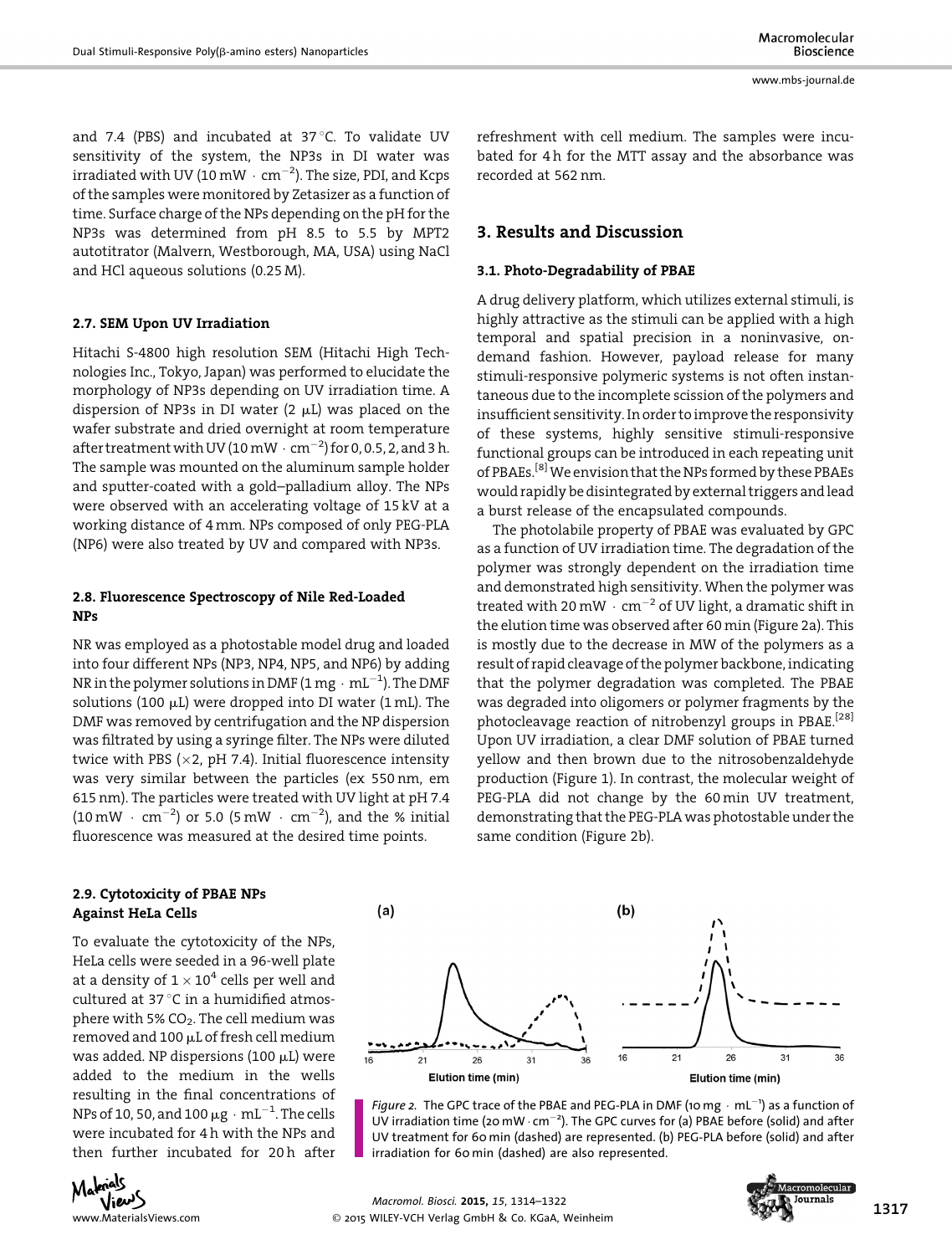and 7.4 (PBS) and incubated at 37 $^{\circ}$ C. To validate UV sensitivity of the system, the NP3s in DI water was irradiated with UV (10 mW  $\cdot$  cm $^{-2}$ ). The size, PDI, and Kcps of the samples were monitored by Zetasizer as a function of time. Surface charge of the NPs depending on the pH for the NP3s was determined from pH 8.5 to 5.5 by MPT2 autotitrator (Malvern, Westborough, MA, USA) using NaCl and HCl aqueous solutions (0.25 M).

# 2.7. SEM Upon UV Irradiation

Hitachi S-4800 high resolution SEM (Hitachi High Technologies Inc., Tokyo, Japan) was performed to elucidate the morphology of NP3s depending on UV irradiation time. A dispersion of NP3s in DI water  $(2 \mu L)$  was placed on the wafer substrate and dried overnight at room temperature after treatment with UV (10 mW  $\cdot$  cm<sup>-2</sup>) for 0, 0.5, 2, and 3 h. The sample was mounted on the aluminum sample holder and sputter-coated with a gold–palladium alloy. The NPs were observed with an accelerating voltage of 15 kV at a working distance of 4 mm. NPs composed of only PEG-PLA (NP6) were also treated by UV and compared with NP3s.

# 2.8. Fluorescence Spectroscopy of Nile Red-Loaded NPs

NR was employed as a photostable model drug and loaded into four different NPs (NP3, NP4, NP5, and NP6) by adding NR in the polymer solutions in DMF (1 mg  $\cdot\,$  mL $^{-1}$ ). The DMF solutions (100  $\mu$ L) were dropped into DI water (1 mL). The DMF was removed by centrifugation and the NP dispersion was filtrated by using a syringe filter. The NPs were diluted twice with PBS ( $\times$ 2, pH 7.4). Initial fluorescence intensity was very similar between the particles (ex 550 nm, em 615 nm). The particles were treated with UV light at pH 7.4  $(10 \text{ mW} \cdot \text{ cm}^{-2})$  or 5.0  $(5 \text{ mW} \cdot \text{ cm}^{-2})$ , and the % initial fluorescence was measured at the desired time points.

refreshment with cell medium. The samples were incubated for 4 h for the MTT assay and the absorbance was recorded at 562 nm.

# 3. Results and Discussion

#### 3.1. Photo-Degradability of PBAE

A drug delivery platform, which utilizes external stimuli, is highly attractive as the stimuli can be applied with a high temporal and spatial precision in a noninvasive, ondemand fashion. However, payload release for many stimuli-responsive polymeric systems is not often instantaneous due to the incomplete scission of the polymers and insufficient sensitivity. In order to improve the responsivity of these systems, highly sensitive stimuli-responsive functional groups can be introduced in each repeating unit of PBAEs.<sup>[8]</sup> We envision that the NPs formed by these PBAEs would rapidly be disintegrated by external triggers andlead a burst release of the encapsulated compounds.

The photolabile property of PBAE was evaluated by GPC as a function of UV irradiation time. The degradation of the polymer was strongly dependent on the irradiation time and demonstrated high sensitivity. When the polymer was treated with 20 mW  $\cdot$  cm<sup>-2</sup> of UV light, a dramatic shift in the elution time was observed after 60 min (Figure 2a). This is mostly due to the decrease in MW of the polymers as a result of rapid cleavage of the polymer backbone, indicating that the polymer degradation was completed. The PBAE was degraded into oligomers or polymer fragments by the photocleavage reaction of nitrobenzyl groups in PBAE.<sup>[28]</sup> Upon UV irradiation, a clear DMF solution of PBAE turned yellow and then brown due to the nitrosobenzaldehyde production (Figure 1). In contrast, the molecular weight of PEG-PLA did not change by the 60 min UV treatment, demonstrating that the PEG-PLA was photostable under the same condition (Figure 2b).

# 2.9. Cytotoxicity of PBAE NPs Against HeLa Cells

To evaluate the cytotoxicity of the NPs, HeLa cells were seeded in a 96-well plate at a density of  $1 \times 10^4$  cells per well and cultured at 37 $^{\circ}$ C in a humidified atmosphere with 5%  $CO<sub>2</sub>$ . The cell medium was removed and  $100 \mu$ L of fresh cell medium was added. NP dispersions (100  $\mu$ L) were added to the medium in the wells resulting in the final concentrations of NPs of 10, 50, and 100  $\mu$ g  $\cdot$  mL $^{-1}$ . The cells were incubated for 4 h with the NPs and then further incubated for 20h after



Figure 2. The GPC trace of the PBAE and PEG-PLA in DMF (10 mg  $\cdot$  mL<sup>-1</sup>) as a function of<br>UV irradiation time (20 mW cm<sup>-2</sup>). The GPC curves for (2) PBAE before (solid) and after UV irradiation time (20 mW  $\cdot$  cm<sup>-2</sup>). The GPC curves for (a) PBAE before (solid) and after UV treatment for 60 min (dashed) are represented. (b) PEG-PLA before (solid) and after irradiation for 60 min (dashed) are also represented.



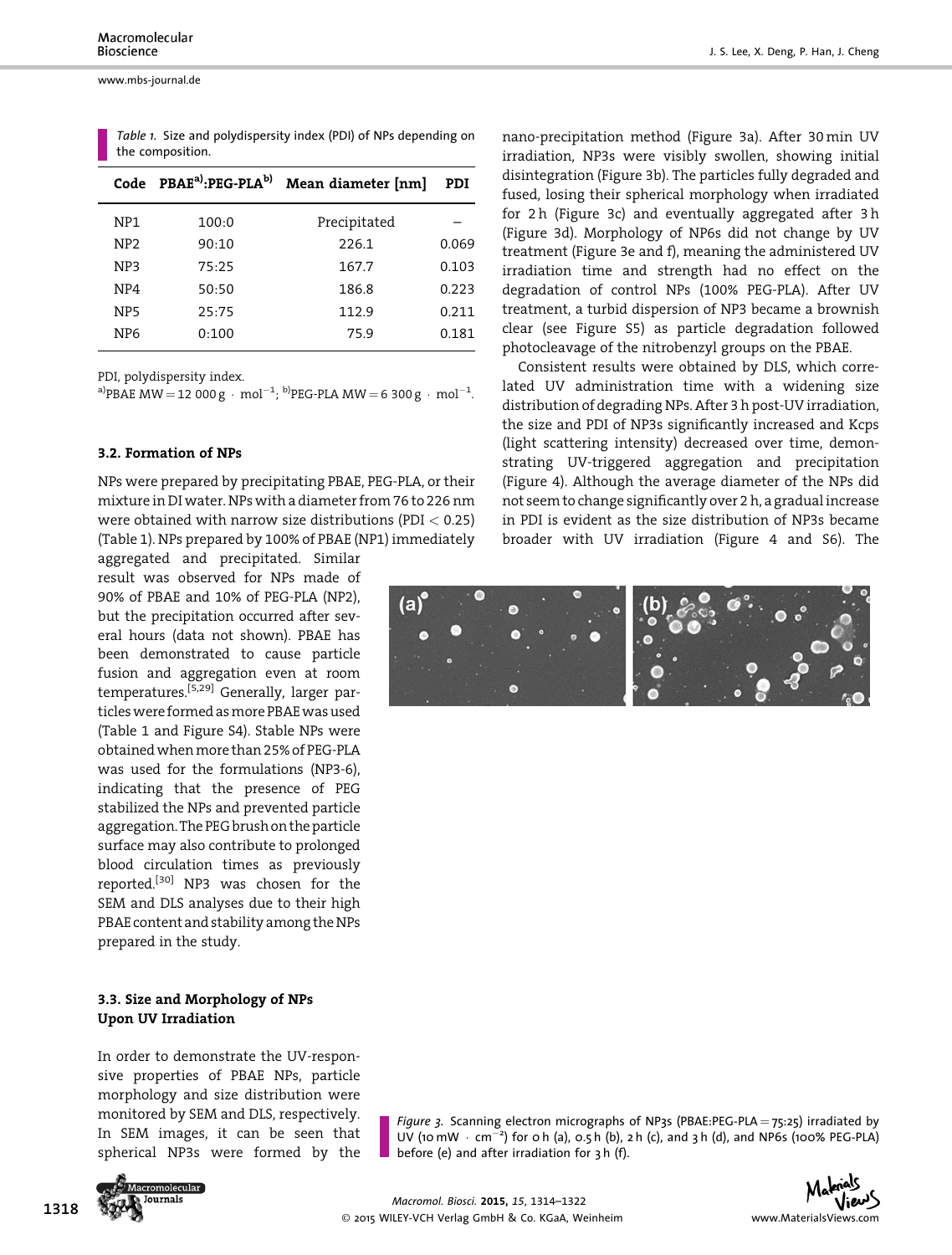|                 | Code PBAE <sup>a)</sup> :PEG-PLA <sup>b)</sup> | Mean diameter [nm] | PDI   |
|-----------------|------------------------------------------------|--------------------|-------|
| NP <sub>1</sub> | 100:0                                          | Precipitated       |       |
| NP <sub>2</sub> | 90:10                                          | 226.1              | 0.069 |
| NP <sub>3</sub> | 75:25                                          | 167.7              | 0.103 |
| NP4             | 50:50                                          | 186.8              | 0.223 |
| NP <sub>5</sub> | 25:75                                          | 112.9              | 0.211 |
| NP <sub>6</sub> | 0:100                                          | 75.9               | 0.181 |
|                 |                                                |                    |       |

Table 1. Size and polydispersity index (PDI) of NPs depending on the composition.

PDI, polydispersity index.

a)PBAE MW = 12 000 g · mol<sup>-1</sup>; <sup>b)</sup>PEG-PLA MW = 6 300 g · mol<sup>-1</sup>.

#### 3.2. Formation of NPs

NPs were prepared by precipitating PBAE, PEG-PLA, or their mixture in DI water. NPs with a diameter from 76 to 226 nm were obtained with narrow size distributions (PDI  $< 0.25$ ) (Table 1). NPs prepared by 100% of PBAE (NP1) immediately

aggregated and precipitated. Similar result was observed for NPs made of 90% of PBAE and 10% of PEG-PLA (NP2), but the precipitation occurred after several hours (data not shown). PBAE has been demonstrated to cause particle fusion and aggregation even at room temperatures.<sup>[5,29]</sup> Generally, larger particles were formed as more PBAE was used (Table 1 and Figure S4). Stable NPs were obtainedwhenmore than 25% of PEG-PLA was used for the formulations (NP3-6), indicating that the presence of PEG stabilized the NPs and prevented particle aggregation. The PEG brush on the particle surface may also contribute to prolonged blood circulation times as previously reported.<sup>[30]</sup> NP3 was chosen for the SEM and DLS analyses due to their high PBAE content and stability among the NPs prepared in the study.

## 3.3. Size and Morphology of NPs Upon UV Irradiation

In order to demonstrate the UV-responsive properties of PBAE NPs, particle morphology and size distribution were monitored by SEM and DLS, respectively. In SEM images, it can be seen that spherical NP3s were formed by the



Figure 3. Scanning electron micrographs of NP3s (PBAE:PEG-PLA =  $75:25$ ) irradiated by UV (10 mW  $\cdot$  cm<sup>-2</sup>) for 0 h (a), 0.5 h (b), 2 h (c), and 3 h (d), and NP6s (100% PEG-PLA) before (e) and after irradiation for 3 h (f).

nano-precipitation method (Figure 3a). After 30 min UV irradiation, NP3s were visibly swollen, showing initial disintegration (Figure 3b). The particles fully degraded and fused, losing their spherical morphology when irradiated for 2 h (Figure 3c) and eventually aggregated after 3 h (Figure 3d). Morphology of NP6s did not change by UV treatment (Figure 3e and f), meaning the administered UV irradiation time and strength had no effect on the degradation of control NPs (100% PEG-PLA). After UV treatment, a turbid dispersion of NP3 became a brownish clear (see Figure S5) as particle degradation followed photocleavage of the nitrobenzyl groups on the PBAE.

Consistent results were obtained by DLS, which correlated UV administration time with a widening size distribution of degrading NPs. After 3 h post-UV irradiation, the size and PDI of NP3s significantly increased and Kcps (light scattering intensity) decreased over time, demonstrating UV-triggered aggregation and precipitation (Figure 4). Although the average diameter of the NPs did not seem to change significantly over 2 h, a gradual increase in PDI is evident as the size distribution of NP3s became broader with UV irradiation (Figure 4 and S6). The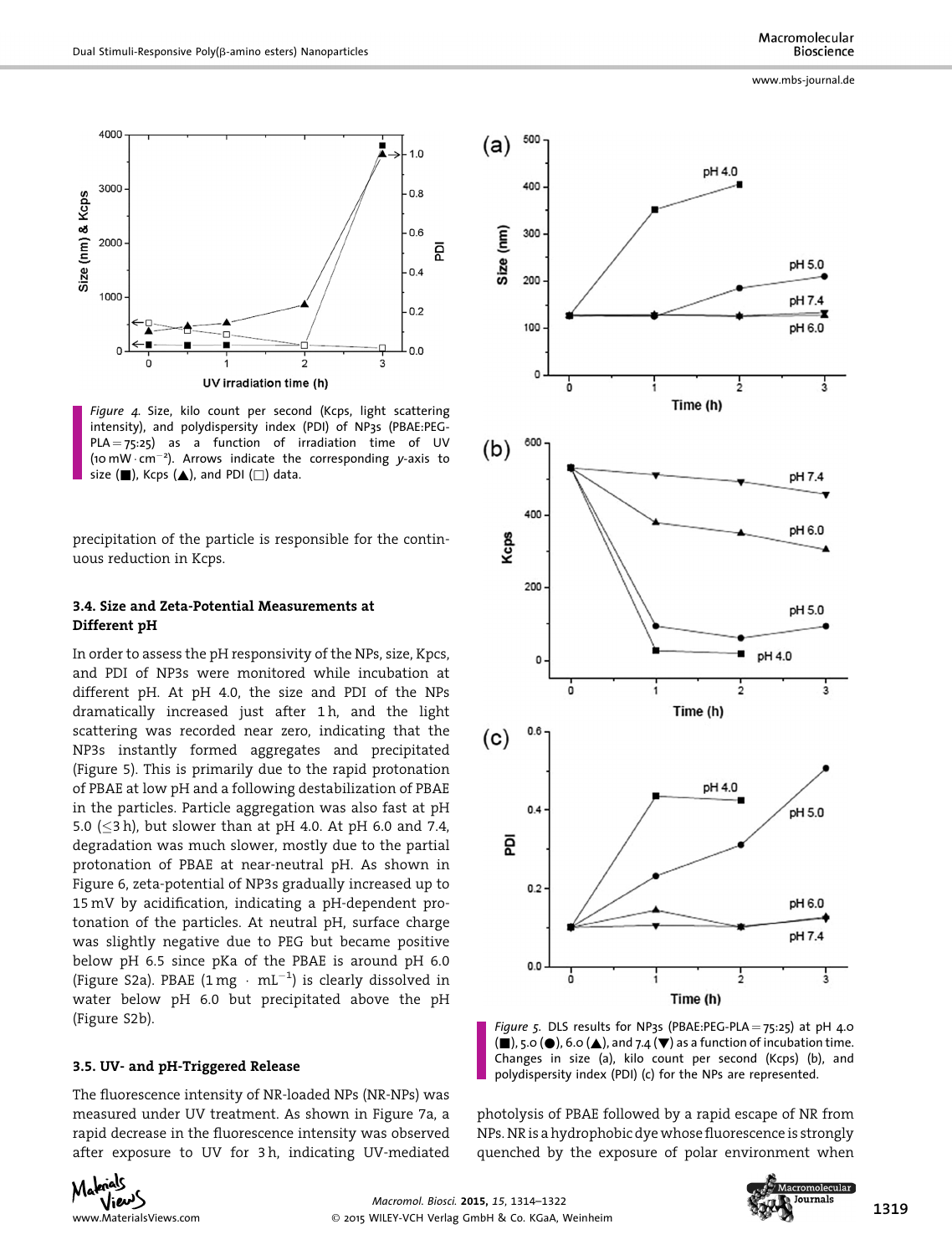

Figure 4. Size, kilo count per second (Kcps, light scattering intensity), and polydispersity index (PDI) of NP3s (PBAE:PEG- $PLA = 75:25$ ) as a function of irradiation time of UV (10 mW  $\cdot$  cm<sup>-2</sup>). Arrows indicate the corresponding y-axis to<br>size (■) Kcns (▲) and PDI (□) data size  $(\blacksquare)$ , Kcps  $(\blacktriangle)$ , and PDI  $(\square)$  data.

precipitation of the particle is responsible for the continuous reduction in Kcps.

## 3.4. Size and Zeta-Potential Measurements at Different pH

In order to assess the pH responsivity of the NPs, size, Kpcs, and PDI of NP3s were monitored while incubation at different pH. At pH 4.0, the size and PDI of the NPs dramatically increased just after 1 h, and the light scattering was recorded near zero, indicating that the NP3s instantly formed aggregates and precipitated (Figure 5). This is primarily due to the rapid protonation of PBAE at low pH and a following destabilization of PBAE in the particles. Particle aggregation was also fast at pH 5.0 ( $\leq$ 3 h), but slower than at pH 4.0. At pH 6.0 and 7.4, degradation was much slower, mostly due to the partial protonation of PBAE at near-neutral pH. As shown in Figure 6, zeta-potential of NP3s gradually increased up to 15 mV by acidification, indicating a pH-dependent protonation of the particles. At neutral pH, surface charge was slightly negative due to PEG but became positive below pH 6.5 since pKa of the PBAE is around pH 6.0 (Figure S2a). PBAE  $(1 \text{ mg } \cdot \text{ mL}^{-1})$  is clearly dissolved in water below pH 6.0 but precipitated above the pH (Figure S2b).

#### 3.5. UV- and pH-Triggered Release

The fluorescence intensity of NR-loaded NPs (NR-NPs) was measured under UV treatment. As shown in Figure 7a, a rapid decrease in the fluorescence intensity was observed after exposure to UV for 3 h, indicating UV-mediated

www.mbs-journal.de



Figure 5. DLS results for NP3s (PBAE:PEG-PLA =  $75:25$ ) at pH 4.0  $(\blacksquare)$ , 5.0 ( $\spadesuit$ ), 6.0 ( $\spadesuit$ ), and 7.4 ( $\blacktriangledown$ ) as a function of incubation time. Changes in size (a), kilo count per second (Kcps) (b), and polydispersity index (PDI) (c) for the NPs are represented.

photolysis of PBAE followed by a rapid escape of NR from NPs. NR is a hydrophobic dye whose fluorescence is strongly quenched by the exposure of polar environment when



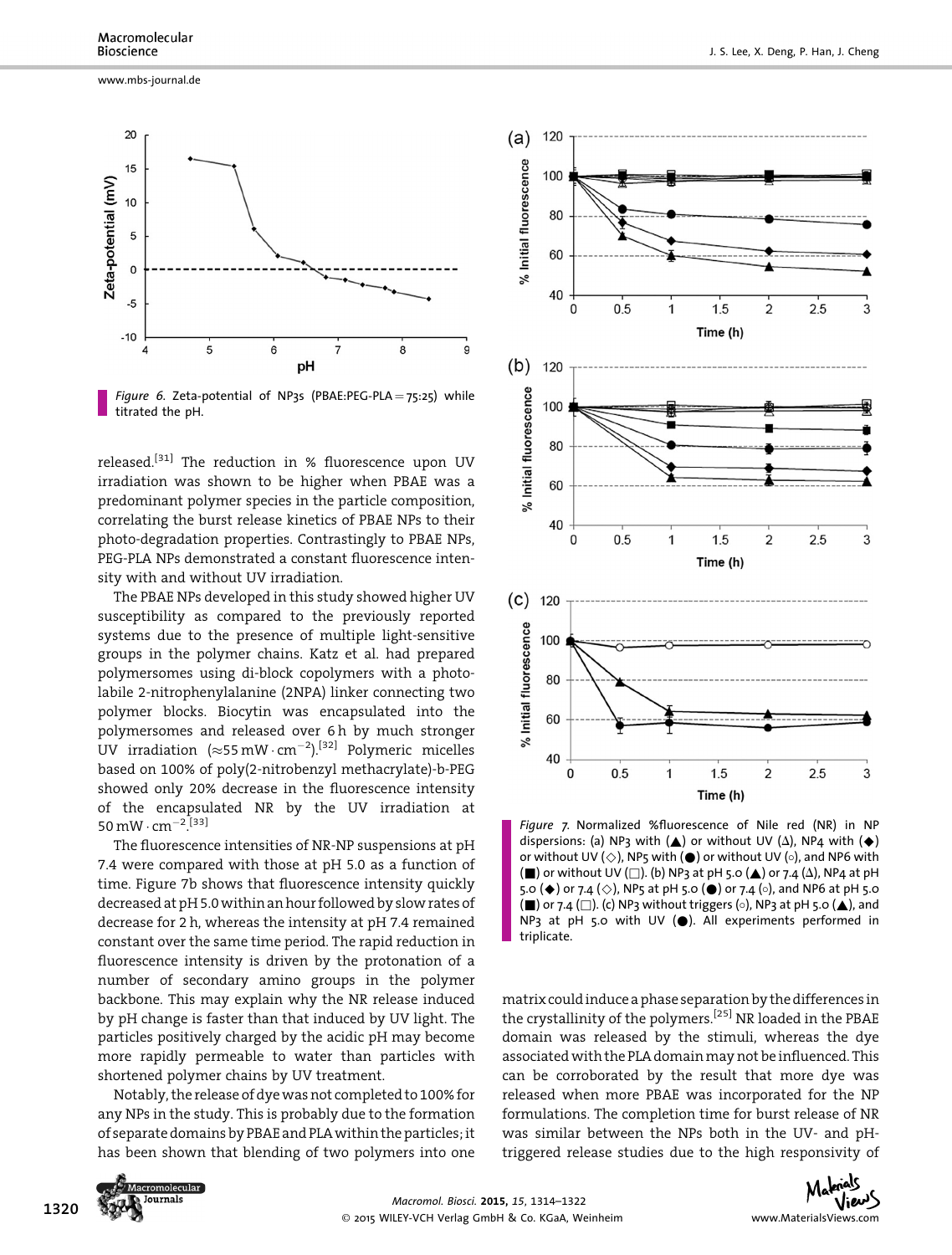www.mbs-journal.de



Figure 6. Zeta-potential of NP3s (PBAE:PEG-PLA =  $75:25$ ) while titrated the pH.

released.<sup>[31]</sup> The reduction in % fluorescence upon UV irradiation was shown to be higher when PBAE was a predominant polymer species in the particle composition, correlating the burst release kinetics of PBAE NPs to their photo-degradation properties. Contrastingly to PBAE NPs, PEG-PLA NPs demonstrated a constant fluorescence intensity with and without UV irradiation.

The PBAE NPs developed in this study showed higher UV susceptibility as compared to the previously reported systems due to the presence of multiple light-sensitive groups in the polymer chains. Katz et al. had prepared polymersomes using di-block copolymers with a photolabile 2-nitrophenylalanine (2NPA) linker connecting two polymer blocks. Biocytin was encapsulated into the polymersomes and released over 6 h by much stronger UV irradiation  $(\approx 55 \,\text{mW}\cdot\text{cm}^{-2})$ .<sup>[32]</sup> Polymeric micelles based on 100% of poly(2-nitrobenzyl methacrylate)-b-PEG showed only 20% decrease in the fluorescence intensity of the encapsulated NR by the UV irradiation at 50 mW  $\cdot$  cm<sup>-2</sup>.<sup>[33]</sup>

The fluorescence intensities of NR-NP suspensions at pH 7.4 were compared with those at pH 5.0 as a function of time. Figure 7b shows that fluorescence intensity quickly decreased at pH 5.0 within an hour followed by slow rates of decrease for 2 h, whereas the intensity at pH 7.4 remained constant over the same time period. The rapid reduction in fluorescence intensity is driven by the protonation of a number of secondary amino groups in the polymer backbone. This may explain why the NR release induced by pH change is faster than that induced by UV light. The particles positively charged by the acidic pH may become more rapidly permeable to water than particles with shortened polymer chains by UV treatment.

Notably, the release of dyewas not completed to 100% for any NPs in the study. This is probably due to the formation of separate domains by PBAE and PLAwithin the particles; it has been shown that blending of two polymers into one



Figure 7. Normalized %fluorescence of Nile red (NR) in NP dispersions: (a) NP3 with ( $\triangle$ ) or without UV ( $\triangle$ ), NP4 with ( $\blacklozenge$ ) or without UV ( $\diamondsuit$ ), NP5 with ( $\bullet$ ) or without UV ( $\diamondsuit$ ), and NP6 with  $(\blacksquare)$  or without UV ( $\square$ ). (b) NP3 at pH 5.0 ( $\blacktriangle$ ) or 7.4 ( $\triangle$ ), NP4 at pH 5.0 ( $\blacklozenge$ ) or 7.4 ( $\diamondsuit$ ), NP5 at pH 5.0 ( $\blacklozenge$ ) or 7.4 ( $\diamond$ ), and NP6 at pH 5.0  $(\blacksquare)$  or 7.4 ( $\square$ ). (c) NP3 without triggers ( $\circ$ ), NP3 at pH 5.0 ( $\blacktriangle$ ), and NP3 at pH 5.0 with UV  $(\bullet)$ . All experiments performed in triplicate.

matrix could induce a phase separation by the differences in the crystallinity of the polymers.<sup>[25]</sup> NR loaded in the PBAE domain was released by the stimuli, whereas the dye associated with the PLA domain may not be influenced. This can be corroborated by the result that more dye was released when more PBAE was incorporated for the NP formulations. The completion time for burst release of NR was similar between the NPs both in the UV- and pHtriggered release studies due to the high responsivity of

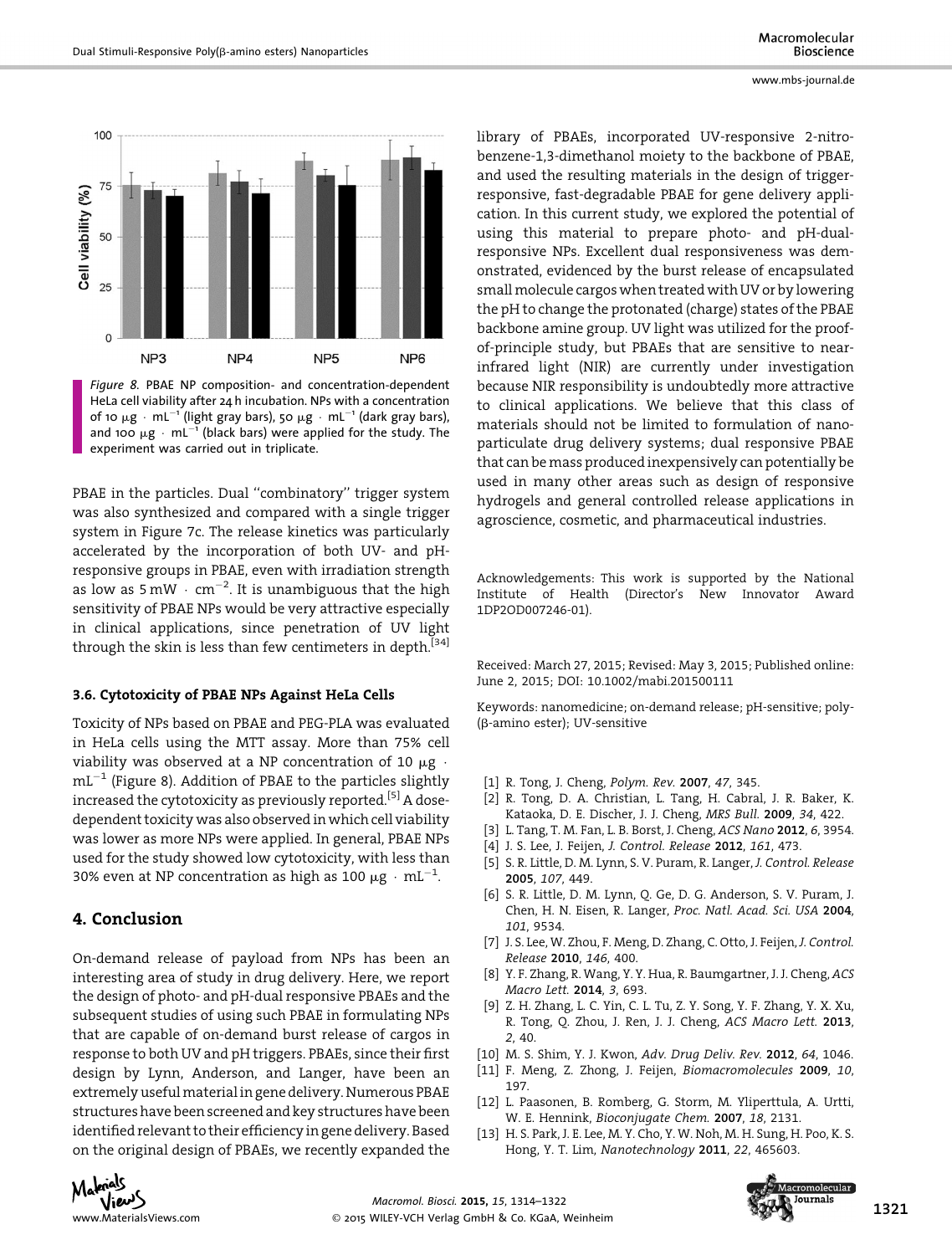

Figure 8. PBAE NP composition- and concentration-dependent HeLa cell viability after 24 h incubation. NPs with a concentration of 10  $\mu$ g · mL<sup>-1</sup> (light gray bars), 50  $\mu$ g · mL<sup>-1</sup> (dark gray bars), and 100  $\mu$ g · mL<sup>-1</sup> (black bars) were applied for the study. The experiment was carried out in triplicate.

PBAE in the particles. Dual "combinatory" trigger system was also synthesized and compared with a single trigger system in Figure 7c. The release kinetics was particularly accelerated by the incorporation of both UV- and pHresponsive groups in PBAE, even with irradiation strength as low as  $5 \text{ mW} \cdot \text{ cm}^{-2}$ . It is unambiguous that the high sensitivity of PBAE NPs would be very attractive especially in clinical applications, since penetration of UV light through the skin is less than few centimeters in depth.<sup>[34]</sup>

#### 3.6. Cytotoxicity of PBAE NPs Against HeLa Cells

Toxicity of NPs based on PBAE and PEG-PLA was evaluated in HeLa cells using the MTT assay. More than 75% cell viability was observed at a NP concentration of 10  $\mu$ g ·  $mL^{-1}$  (Figure 8). Addition of PBAE to the particles slightly increased the cytotoxicity as previously reported.<sup>[5]</sup> A dosedependent toxicity was also observed in which cell viability was lower as more NPs were applied. In general, PBAE NPs used for the study showed low cytotoxicity, with less than 30% even at NP concentration as high as 100  $\mu$ g · mL<sup>-1</sup>.

# 4. Conclusion

On-demand release of payload from NPs has been an interesting area of study in drug delivery. Here, we report the design of photo- and pH-dual responsive PBAEs and the subsequent studies of using such PBAE in formulating NPs that are capable of on-demand burst release of cargos in response to both UV and pH triggers. PBAEs, since their first design by Lynn, Anderson, and Langer, have been an extremely usefulmaterial in gene delivery. Numerous PBAE structures have been screened and key structures have been identified relevant to their efficiency in gene delivery. Based on the original design of PBAEs, we recently expanded the

library of PBAEs, incorporated UV-responsive 2-nitrobenzene-1,3-dimethanol moiety to the backbone of PBAE, and used the resulting materials in the design of triggerresponsive, fast-degradable PBAE for gene delivery application. In this current study, we explored the potential of using this material to prepare photo- and pH-dualresponsive NPs. Excellent dual responsiveness was demonstrated, evidenced by the burst release of encapsulated small molecule cargos when treated with UV or by lowering the pH to change the protonated (charge) states of the PBAE backbone amine group. UV light was utilized for the proofof-principle study, but PBAEs that are sensitive to nearinfrared light (NIR) are currently under investigation because NIR responsibility is undoubtedly more attractive to clinical applications. We believe that this class of materials should not be limited to formulation of nanoparticulate drug delivery systems; dual responsive PBAE that can be mass produced inexpensively can potentially be used in many other areas such as design of responsive hydrogels and general controlled release applications in agroscience, cosmetic, and pharmaceutical industries.

Acknowledgements: This work is supported by the National Institute of Health (Director's New Innovator Award 1DP2OD007246-01).

Received: March 27, 2015; Revised: May 3, 2015; Published online: June 2, 2015; DOI: 10.1002/mabi.201500111

Keywords: nanomedicine; on-demand release; pH-sensitive; poly- (b-amino ester); UV-sensitive

- [1] R. Tong, J. Cheng, Polym. Rev. 2007, 47, 345.
- [2] R. Tong, D. A. Christian, L. Tang, H. Cabral, J. R. Baker, K. Kataoka, D. E. Discher, J. J. Cheng, MRS Bull. 2009, 34, 422.
- [3] L. Tang, T. M. Fan, L. B. Borst, J. Cheng, ACS Nano 2012, 6, 3954.
- [4] J. S. Lee, J. Feijen, J. Control. Release 2012, 161, 473.
- [5] S. R. Little, D. M. Lynn, S. V. Puram, R. Langer, J. Control. Release 2005, 107, 449.
- [6] S. R. Little, D. M. Lynn, Q. Ge, D. G. Anderson, S. V. Puram, J. Chen, H. N. Eisen, R. Langer, Proc. Natl. Acad. Sci. USA 2004, 101, 9534.
- [7] J. S. Lee, W. Zhou, F. Meng, D. Zhang, C. Otto, J. Feijen, J. Control. Release 2010, 146, 400.
- [8] Y. F. Zhang, R. Wang, Y. Y. Hua, R. Baumgartner, J. J. Cheng, ACS Macro Lett. 2014, 3, 693.
- [9] Z. H. Zhang, L. C. Yin, C. L. Tu, Z. Y. Song, Y. F. Zhang, Y. X. Xu, R. Tong, Q. Zhou, J. Ren, J. J. Cheng, ACS Macro Lett. 2013, 2, 40.
- [10] M. S. Shim, Y. J. Kwon, Adv. Drug Deliv. Rev. 2012, 64, 1046.
- [11] F. Meng, Z. Zhong, J. Feijen, Biomacromolecules 2009, 10, 197.
- [12] L. Paasonen, B. Romberg, G. Storm, M. Yliperttula, A. Urtti, W. E. Hennink, Bioconjugate Chem. 2007, 18, 2131.
- [13] H. S. Park, J. E. Lee, M. Y. Cho, Y. W. Noh, M. H. Sung, H. Poo, K. S. Hong, Y. T. Lim, Nanotechnology 2011, 22, 465603.